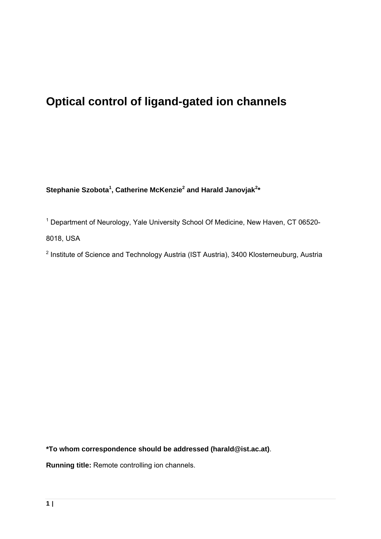# **Optical control of ligand-gated ion channels**

Stephanie Szobota<sup>1</sup>, Catherine McKenzie<sup>2</sup> and Harald Janovjak<sup>2\*</sup>

<sup>1</sup> Department of Neurology, Yale University School Of Medicine, New Haven, CT 06520-8018, USA

<sup>2</sup> Institute of Science and Technology Austria (IST Austria), 3400 Klosterneuburg, Austria

**\*To whom correspondence should be addressed (harald@ist.ac.at)**.

**Running title:** Remote controlling ion channels.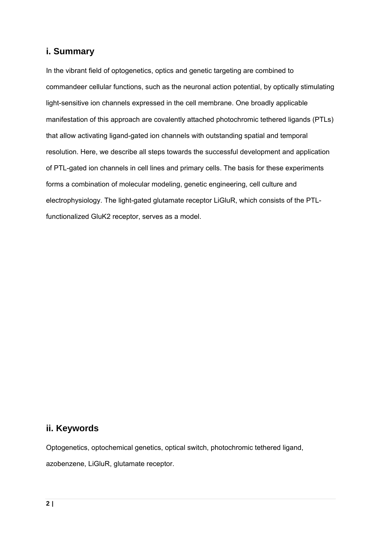# **i. Summary**

In the vibrant field of optogenetics, optics and genetic targeting are combined to commandeer cellular functions, such as the neuronal action potential, by optically stimulating light-sensitive ion channels expressed in the cell membrane. One broadly applicable manifestation of this approach are covalently attached photochromic tethered ligands (PTLs) that allow activating ligand-gated ion channels with outstanding spatial and temporal resolution. Here, we describe all steps towards the successful development and application of PTL-gated ion channels in cell lines and primary cells. The basis for these experiments forms a combination of molecular modeling, genetic engineering, cell culture and electrophysiology. The light-gated glutamate receptor LiGluR, which consists of the PTLfunctionalized GluK2 receptor, serves as a model.

# **ii. Keywords**

Optogenetics, optochemical genetics, optical switch, photochromic tethered ligand, azobenzene, LiGluR, glutamate receptor.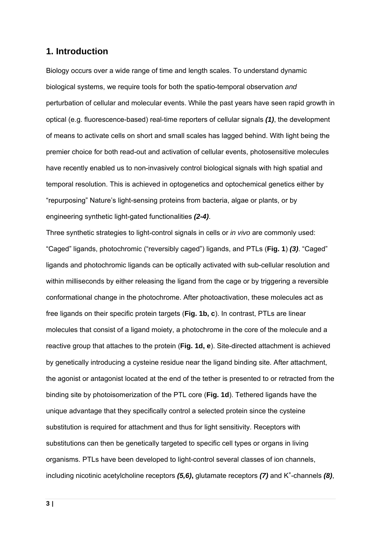# **1. Introduction**

Biology occurs over a wide range of time and length scales. To understand dynamic biological systems, we require tools for both the spatio-temporal observation *and* perturbation of cellular and molecular events. While the past years have seen rapid growth in optical (e.g. fluorescence-based) real-time reporters of cellular signals *(1)*, the development of means to activate cells on short and small scales has lagged behind. With light being the premier choice for both read-out and activation of cellular events, photosensitive molecules have recently enabled us to non-invasively control biological signals with high spatial and temporal resolution. This is achieved in optogenetics and optochemical genetics either by "repurposing" Nature's light-sensing proteins from bacteria, algae or plants, or by engineering synthetic light-gated functionalities *(2-4)*.

Three synthetic strategies to light-control signals in cells or *in vivo* are commonly used: "Caged" ligands, photochromic ("reversibly caged") ligands, and PTLs (**Fig. 1**) *(3)*. "Caged" ligands and photochromic ligands can be optically activated with sub-cellular resolution and within milliseconds by either releasing the ligand from the cage or by triggering a reversible conformational change in the photochrome. After photoactivation, these molecules act as free ligands on their specific protein targets (**Fig. 1b, c**). In contrast, PTLs are linear molecules that consist of a ligand moiety, a photochrome in the core of the molecule and a reactive group that attaches to the protein (**Fig. 1d, e**). Site-directed attachment is achieved by genetically introducing a cysteine residue near the ligand binding site. After attachment, the agonist or antagonist located at the end of the tether is presented to or retracted from the binding site by photoisomerization of the PTL core (**Fig. 1d**). Tethered ligands have the unique advantage that they specifically control a selected protein since the cysteine substitution is required for attachment and thus for light sensitivity. Receptors with substitutions can then be genetically targeted to specific cell types or organs in living organisms. PTLs have been developed to light-control several classes of ion channels, including nicotinic acetylcholine receptors (5,6), glutamate receptors (7) and K<sup>+</sup>-channels (8),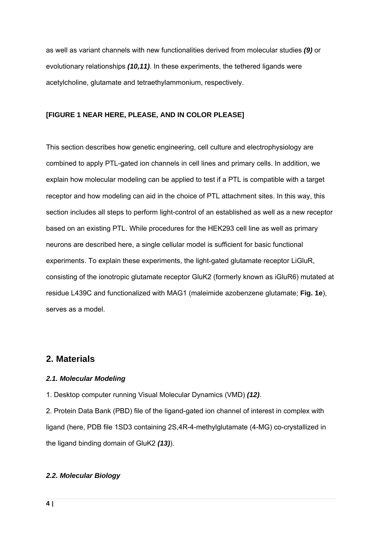as well as variant channels with new functionalities derived from molecular studies *(9)* or evolutionary relationships *(10,11)*. In these experiments, the tethered ligands were acetylcholine, glutamate and tetraethylammonium, respectively.

### **[FIGURE 1 NEAR HERE, PLEASE, AND IN COLOR PLEASE]**

This section describes how genetic engineering, cell culture and electrophysiology are combined to apply PTL-gated ion channels in cell lines and primary cells. In addition, we explain how molecular modeling can be applied to test if a PTL is compatible with a target receptor and how modeling can aid in the choice of PTL attachment sites. In this way, this section includes all steps to perform light-control of an established as well as a new receptor based on an existing PTL. While procedures for the HEK293 cell line as well as primary neurons are described here, a single cellular model is sufficient for basic functional experiments. To explain these experiments, the light-gated glutamate receptor LiGluR, consisting of the ionotropic glutamate receptor GluK2 (formerly known as iGluR6) mutated at residue L439C and functionalized with MAG1 (maleimide azobenzene glutamate; **Fig. 1e**), serves as a model.

# **2. Materials**

#### *2.1. Molecular Modeling*

1. Desktop computer running Visual Molecular Dynamics (VMD) *(12)*.

2. Protein Data Bank (PBD) file of the ligand-gated ion channel of interest in complex with ligand (here, PDB file 1SD3 containing 2S,4R-4-methylglutamate (4-MG) co-crystallized in the ligand binding domain of GluK2 *(13)*).

#### *2.2. Molecular Biology*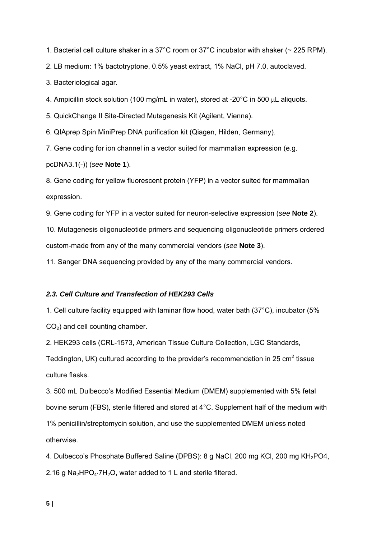1. Bacterial cell culture shaker in a 37°C room or 37°C incubator with shaker (~ 225 RPM).

2. LB medium: 1% bactotryptone, 0.5% yeast extract, 1% NaCl, pH 7.0, autoclaved.

3. Bacteriological agar.

4. Ampicillin stock solution (100 mg/mL in water), stored at -20 $^{\circ}$ C in 500  $\mu$ L aliquots.

5. QuickChange II Site-Directed Mutagenesis Kit (Agilent, Vienna).

6. QIAprep Spin MiniPrep DNA purification kit (Qiagen, Hilden, Germany).

7. Gene coding for ion channel in a vector suited for mammalian expression (e.g.

pcDNA3.1(-)) (*see* **Note 1**).

8. Gene coding for yellow fluorescent protein (YFP) in a vector suited for mammalian expression.

9. Gene coding for YFP in a vector suited for neuron-selective expression (*see* **Note 2**).

10. Mutagenesis oligonucleotide primers and sequencing oligonucleotide primers ordered custom-made from any of the many commercial vendors (*see* **Note 3**).

11. Sanger DNA sequencing provided by any of the many commercial vendors.

#### *2.3. Cell Culture and Transfection of HEK293 Cells*

1. Cell culture facility equipped with laminar flow hood, water bath (37°C), incubator (5%  $CO<sub>2</sub>$ ) and cell counting chamber.

2. HEK293 cells (CRL-1573, American Tissue Culture Collection, LGC Standards,

Teddington, UK) cultured according to the provider's recommendation in 25  $\text{cm}^2$  tissue culture flasks.

3. 500 mL Dulbecco's Modified Essential Medium (DMEM) supplemented with 5% fetal bovine serum (FBS), sterile filtered and stored at 4°C. Supplement half of the medium with 1% penicillin/streptomycin solution, and use the supplemented DMEM unless noted otherwise.

4. Dulbecco's Phosphate Buffered Saline (DPBS): 8 g NaCl, 200 mg KCl, 200 mg KH<sub>2</sub>PO4, 2.16 g Na<sub>2</sub>HPO<sub>4</sub>.7H<sub>2</sub>O, water added to 1 L and sterile filtered.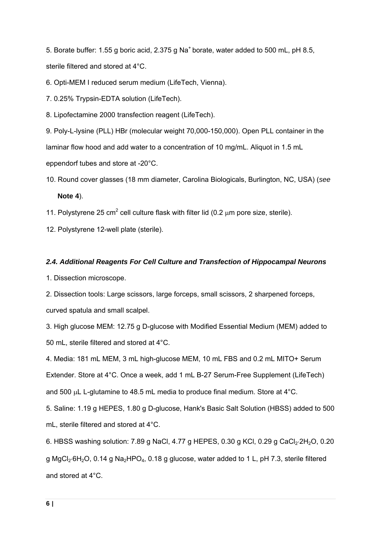5. Borate buffer: 1.55 g boric acid, 2.375 g Na<sup>+</sup> borate, water added to 500 mL, pH 8.5, sterile filtered and stored at 4°C.

6. Opti-MEM I reduced serum medium (LifeTech, Vienna).

7. 0.25% Trypsin-EDTA solution (LifeTech).

8. Lipofectamine 2000 transfection reagent (LifeTech).

9. Poly-L-lysine (PLL) HBr (molecular weight 70,000-150,000). Open PLL container in the laminar flow hood and add water to a concentration of 10 mg/mL. Aliquot in 1.5 mL eppendorf tubes and store at -20°C.

- 10. Round cover glasses (18 mm diameter, Carolina Biologicals, Burlington, NC, USA) (*see* **Note 4**).
- 11. Polystyrene 25 cm<sup>2</sup> cell culture flask with filter lid (0.2  $\mu$ m pore size, sterile).

12. Polystyrene 12-well plate (sterile).

### *2.4. Additional Reagents For Cell Culture and Transfection of Hippocampal Neurons*

1. Dissection microscope.

2. Dissection tools: Large scissors, large forceps, small scissors, 2 sharpened forceps, curved spatula and small scalpel.

3. High glucose MEM: 12.75 g D-glucose with Modified Essential Medium (MEM) added to 50 mL, sterile filtered and stored at 4°C.

4. Media: 181 mL MEM, 3 mL high-glucose MEM, 10 mL FBS and 0.2 mL MITO+ Serum Extender. Store at 4°C. Once a week, add 1 mL B-27 Serum-Free Supplement (LifeTech) and 500  $\mu$ L L-glutamine to 48.5 mL media to produce final medium. Store at 4 $\degree$ C.

5. Saline: 1.19 g HEPES, 1.80 g D-glucose, Hank's Basic Salt Solution (HBSS) added to 500 mL, sterile filtered and stored at 4°C.

6. HBSS washing solution: 7.89 g NaCl, 4.77 g HEPES, 0.30 g KCl, 0.29 g CaCl<sub>2</sub>.2H<sub>2</sub>O, 0.20 g MgCl<sub>2</sub>·6H<sub>2</sub>O, 0.14 g Na<sub>2</sub>HPO<sub>4</sub>, 0.18 g glucose, water added to 1 L, pH 7.3, sterile filtered and stored at 4°C.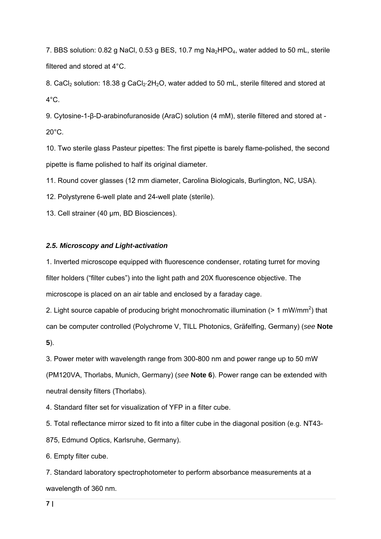7. BBS solution: 0.82 g NaCl, 0.53 g BES, 10.7 mg Na<sub>2</sub>HPO<sub>4</sub>, water added to 50 mL, sterile filtered and stored at 4°C.

8. CaCl<sub>2</sub> solution: 18.38 g CaCl<sub>2</sub>.2H<sub>2</sub>O, water added to 50 mL, sterile filtered and stored at  $4^{\circ}$ C.

9. Cytosine-1-β-D-arabinofuranoside (AraC) solution (4 mM), sterile filtered and stored at -  $20^{\circ}$ C.

10. Two sterile glass Pasteur pipettes: The first pipette is barely flame-polished, the second pipette is flame polished to half its original diameter.

11. Round cover glasses (12 mm diameter, Carolina Biologicals, Burlington, NC, USA).

12. Polystyrene 6-well plate and 24-well plate (sterile).

13. Cell strainer (40 μm, BD Biosciences).

# *2.5. Microscopy and Light-activation*

1. Inverted microscope equipped with fluorescence condenser, rotating turret for moving filter holders ("filter cubes") into the light path and 20X fluorescence objective. The microscope is placed on an air table and enclosed by a faraday cage.

2. Light source capable of producing bright monochromatic illumination ( $> 1$  mW/mm<sup>2</sup>) that can be computer controlled (Polychrome V, TILL Photonics, Gräfelfing, Germany) (*see* **Note 5**).

3. Power meter with wavelength range from 300-800 nm and power range up to 50 mW (PM120VA, Thorlabs, Munich, Germany) (*see* **Note 6**). Power range can be extended with neutral density filters (Thorlabs).

4. Standard filter set for visualization of YFP in a filter cube.

5. Total reflectance mirror sized to fit into a filter cube in the diagonal position (e.g. NT43- 875, Edmund Optics, Karlsruhe, Germany).

6. Empty filter cube.

7. Standard laboratory spectrophotometer to perform absorbance measurements at a wavelength of 360 nm.

**7 |**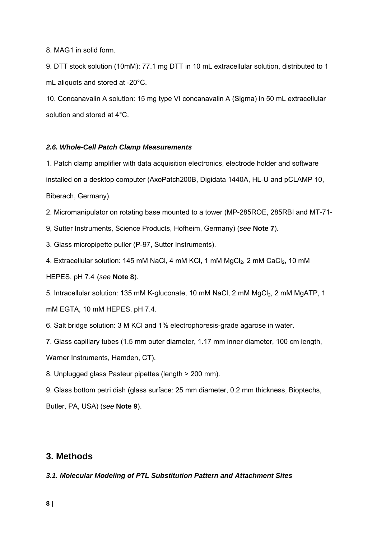8. MAG1 in solid form.

9. DTT stock solution (10mM): 77.1 mg DTT in 10 mL extracellular solution, distributed to 1 mL aliquots and stored at -20°C.

10. Concanavalin A solution: 15 mg type VI concanavalin A (Sigma) in 50 mL extracellular solution and stored at 4°C.

#### *2.6. Whole-Cell Patch Clamp Measurements*

1. Patch clamp amplifier with data acquisition electronics, electrode holder and software installed on a desktop computer (AxoPatch200B, Digidata 1440A, HL-U and pCLAMP 10, Biberach, Germany).

2. Micromanipulator on rotating base mounted to a tower (MP-285ROE, 285RBI and MT-71-

9, Sutter Instruments, Science Products, Hofheim, Germany) (*see* **Note 7**).

3. Glass micropipette puller (P-97, Sutter Instruments).

4. Extracellular solution: 145 mM NaCl, 4 mM KCl, 1 mM MgCl<sub>2</sub>, 2 mM CaCl<sub>2</sub>, 10 mM

HEPES, pH 7.4 (*see* **Note 8**).

5. Intracellular solution: 135 mM K-gluconate, 10 mM NaCl, 2 mM MgCl<sub>2</sub>, 2 mM MgATP, 1 mM EGTA, 10 mM HEPES, pH 7.4.

6. Salt bridge solution: 3 M KCl and 1% electrophoresis-grade agarose in water.

7. Glass capillary tubes (1.5 mm outer diameter, 1.17 mm inner diameter, 100 cm length,

Warner Instruments, Hamden, CT).

8. Unplugged glass Pasteur pipettes (length > 200 mm).

9. Glass bottom petri dish (glass surface: 25 mm diameter, 0.2 mm thickness, Bioptechs, Butler, PA, USA) (*see* **Note 9**).

# **3. Methods**

*3.1. Molecular Modeling of PTL Substitution Pattern and Attachment Sites*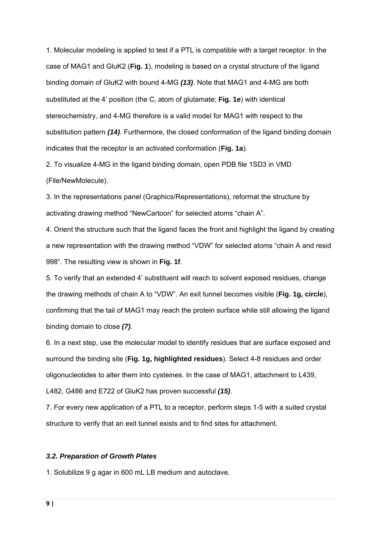1. Molecular modeling is applied to test if a PTL is compatible with a target receptor. In the case of MAG1 and GluK2 (**Fig. 1**), modeling is based on a crystal structure of the ligand binding domain of GluK2 with bound 4-MG *(13)*. Note that MAG1 and 4-MG are both substituted at the 4' position (the C<sub>v</sub> atom of glutamate; **Fig. 1e**) with identical stereochemistry, and 4-MG therefore is a valid model for MAG1 with respect to the substitution pattern *(14)*. Furthermore, the closed conformation of the ligand binding domain indicates that the receptor is an activated conformation (**Fig. 1a**).

2. To visualize 4-MG in the ligand binding domain, open PDB file 1SD3 in VMD (File/NewMolecule).

3. In the representations panel (Graphics/Representations), reformat the structure by activating drawing method "NewCartoon" for selected atoms "chain A".

4. Orient the structure such that the ligand faces the front and highlight the ligand by creating a new representation with the drawing method "VDW" for selected atoms "chain A and resid 998". The resulting view is shown in **Fig. 1f**.

5. To verify that an extended 4' substituent will reach to solvent exposed residues, change the drawing methods of chain A to "VDW". An exit tunnel becomes visible (**Fig. 1g, circle**), confirming that the tail of MAG1 may reach the protein surface while still allowing the ligand binding domain to close *(7)*.

6. In a next step, use the molecular model to identify residues that are surface exposed and surround the binding site (**Fig. 1g, highlighted residues**). Select 4-8 residues and order oligonucleotides to alter them into cysteines. In the case of MAG1, attachment to L439,

L482, G486 and E722 of GluK2 has proven successful *(15)*.

7. For every new application of a PTL to a receptor, perform steps 1-5 with a suited crystal structure to verify that an exit tunnel exists and to find sites for attachment.

#### *3.2. Preparation of Growth Plates*

1. Solubilize 9 g agar in 600 mL LB medium and autoclave.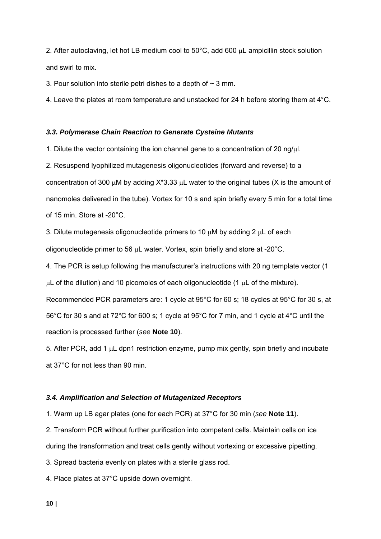2. After autoclaving, let hot LB medium cool to  $50^{\circ}$ C, add 600  $\mu$ L ampicillin stock solution and swirl to mix.

3. Pour solution into sterile petri dishes to a depth of  $\sim$  3 mm.

4. Leave the plates at room temperature and unstacked for 24 h before storing them at  $4^{\circ}$ C.

#### *3.3. Polymerase Chain Reaction to Generate Cysteine Mutants*

1. Dilute the vector containing the ion channel gene to a concentration of 20 ng/l.

2. Resuspend lyophilized mutagenesis oligonucleotides (forward and reverse) to a concentration of 300  $\mu$ M by adding X<sup>\*</sup>3.33  $\mu$ L water to the original tubes (X is the amount of nanomoles delivered in the tube). Vortex for 10 s and spin briefly every 5 min for a total time of 15 min. Store at -20°C.

3. Dilute mutagenesis oligonucleotide primers to 10  $\mu$ M by adding 2  $\mu$ L of each oligonucleotide primer to 56  $\mu$ L water. Vortex, spin briefly and store at -20 $\degree$ C.

4. The PCR is setup following the manufacturer's instructions with 20 ng template vector (1

 $\mu$ L of the dilution) and 10 picomoles of each oligonucleotide (1  $\mu$ L of the mixture).

Recommended PCR parameters are: 1 cycle at 95°C for 60 s; 18 cycles at 95°C for 30 s, at 56°C for 30 s and at 72°C for 600 s; 1 cycle at 95°C for 7 min, and 1 cycle at 4°C until the reaction is processed further (*see* **Note 10**).

5. After PCR, add 1  $\mu$ L dpn1 restriction enzyme, pump mix gently, spin briefly and incubate at 37°C for not less than 90 min.

#### *3.4. Amplification and Selection of Mutagenized Receptors*

1. Warm up LB agar plates (one for each PCR) at 37°C for 30 min (*see* **Note 11**).

2. Transform PCR without further purification into competent cells. Maintain cells on ice during the transformation and treat cells gently without vortexing or excessive pipetting.

3. Spread bacteria evenly on plates with a sterile glass rod.

4. Place plates at 37°C upside down overnight.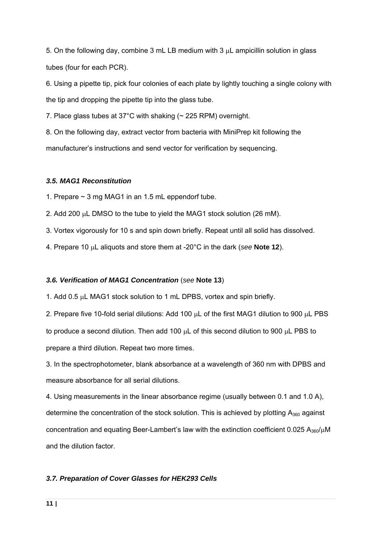5. On the following day, combine 3 mL LB medium with 3  $\mu$ L ampicillin solution in glass tubes (four for each PCR).

6. Using a pipette tip, pick four colonies of each plate by lightly touching a single colony with the tip and dropping the pipette tip into the glass tube.

7. Place glass tubes at 37°C with shaking (~ 225 RPM) overnight.

8. On the following day, extract vector from bacteria with MiniPrep kit following the manufacturer's instructions and send vector for verification by sequencing.

### *3.5. MAG1 Reconstitution*

1. Prepare  $\sim$  3 mg MAG1 in an 1.5 mL eppendorf tube.

2. Add 200  $\mu$ L DMSO to the tube to yield the MAG1 stock solution (26 mM).

3. Vortex vigorously for 10 s and spin down briefly. Repeat until all solid has dissolved.

4. Prepare 10  $\mu$ L aliquots and store them at -20°C in the dark (see **Note 12**).

# *3.6. Verification of MAG1 Concentration* (*see* **Note 13**)

1. Add 0.5 µL MAG1 stock solution to 1 mL DPBS, vortex and spin briefly.

2. Prepare five 10-fold serial dilutions: Add 100  $\mu$ L of the first MAG1 dilution to 900  $\mu$ L PBS to produce a second dilution. Then add 100  $\mu$ L of this second dilution to 900  $\mu$ L PBS to prepare a third dilution. Repeat two more times.

3. In the spectrophotometer, blank absorbance at a wavelength of 360 nm with DPBS and measure absorbance for all serial dilutions.

4. Using measurements in the linear absorbance regime (usually between 0.1 and 1.0 A), determine the concentration of the stock solution. This is achieved by plotting  $A_{360}$  against concentration and equating Beer-Lambert's law with the extinction coefficient  $0.025$  A<sub>360</sub>/ $\mu$ M and the dilution factor.

# *3.7. Preparation of Cover Glasses for HEK293 Cells*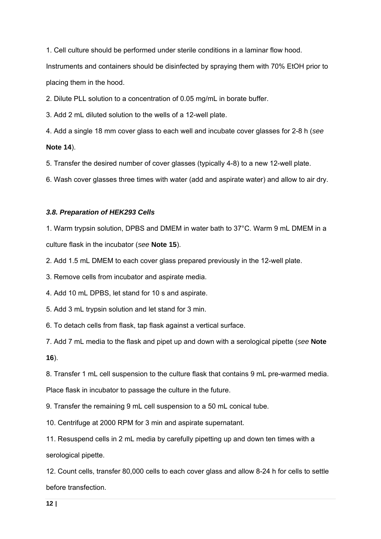1. Cell culture should be performed under sterile conditions in a laminar flow hood.

Instruments and containers should be disinfected by spraying them with 70% EtOH prior to placing them in the hood.

2. Dilute PLL solution to a concentration of 0.05 mg/mL in borate buffer.

3. Add 2 mL diluted solution to the wells of a 12-well plate.

4. Add a single 18 mm cover glass to each well and incubate cover glasses for 2-8 h (*see* **Note 14**).

5. Transfer the desired number of cover glasses (typically 4-8) to a new 12-well plate.

6. Wash cover glasses three times with water (add and aspirate water) and allow to air dry.

### *3.8. Preparation of HEK293 Cells*

1. Warm trypsin solution, DPBS and DMEM in water bath to 37°C. Warm 9 mL DMEM in a culture flask in the incubator (*see* **Note 15**).

2. Add 1.5 mL DMEM to each cover glass prepared previously in the 12-well plate.

3. Remove cells from incubator and aspirate media.

4. Add 10 mL DPBS, let stand for 10 s and aspirate.

5. Add 3 mL trypsin solution and let stand for 3 min.

6. To detach cells from flask, tap flask against a vertical surface.

7. Add 7 mL media to the flask and pipet up and down with a serological pipette (*see* **Note** 

**16**).

8. Transfer 1 mL cell suspension to the culture flask that contains 9 mL pre-warmed media.

Place flask in incubator to passage the culture in the future.

9. Transfer the remaining 9 mL cell suspension to a 50 mL conical tube.

10. Centrifuge at 2000 RPM for 3 min and aspirate supernatant.

11. Resuspend cells in 2 mL media by carefully pipetting up and down ten times with a serological pipette.

12. Count cells, transfer 80,000 cells to each cover glass and allow 8-24 h for cells to settle before transfection.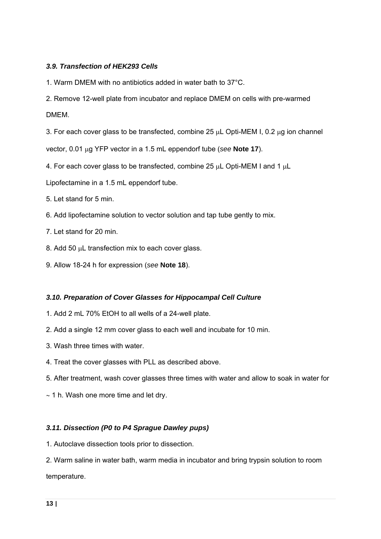### *3.9. Transfection of HEK293 Cells*

- 1. Warm DMEM with no antibiotics added in water bath to 37°C.
- 2. Remove 12-well plate from incubator and replace DMEM on cells with pre-warmed DMEM.
- 3. For each cover glass to be transfected, combine 25  $\mu$ L Opti-MEM I, 0.2  $\mu$ g ion channel
- vector, 0.01 g YFP vector in a 1.5 mL eppendorf tube (*see* **Note 17**).
- 4. For each cover glass to be transfected, combine 25 µL Opti-MEM I and 1 µL
- Lipofectamine in a 1.5 mL eppendorf tube.
- 5. Let stand for 5 min.
- 6. Add lipofectamine solution to vector solution and tap tube gently to mix.
- 7. Let stand for 20 min.
- 8. Add 50  $\mu$ L transfection mix to each cover glass.
- 9. Allow 18-24 h for expression (*see* **Note 18**).

#### *3.10. Preparation of Cover Glasses for Hippocampal Cell Culture*

- 1. Add 2 mL 70% EtOH to all wells of a 24-well plate.
- 2. Add a single 12 mm cover glass to each well and incubate for 10 min.
- 3. Wash three times with water.
- 4. Treat the cover glasses with PLL as described above.
- 5. After treatment, wash cover glasses three times with water and allow to soak in water for
- $\sim$  1 h. Wash one more time and let dry.

#### *3.11. Dissection (P0 to P4 Sprague Dawley pups)*

1. Autoclave dissection tools prior to dissection.

2. Warm saline in water bath, warm media in incubator and bring trypsin solution to room temperature.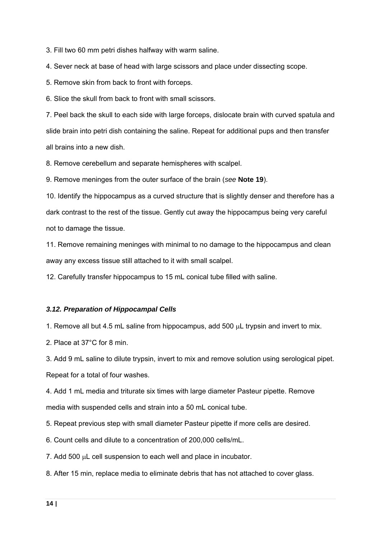3. Fill two 60 mm petri dishes halfway with warm saline.

4. Sever neck at base of head with large scissors and place under dissecting scope.

5. Remove skin from back to front with forceps.

6. Slice the skull from back to front with small scissors.

7. Peel back the skull to each side with large forceps, dislocate brain with curved spatula and slide brain into petri dish containing the saline. Repeat for additional pups and then transfer all brains into a new dish.

8. Remove cerebellum and separate hemispheres with scalpel.

9. Remove meninges from the outer surface of the brain (*see* **Note 19**).

10. Identify the hippocampus as a curved structure that is slightly denser and therefore has a dark contrast to the rest of the tissue. Gently cut away the hippocampus being very careful not to damage the tissue.

11. Remove remaining meninges with minimal to no damage to the hippocampus and clean away any excess tissue still attached to it with small scalpel.

12. Carefully transfer hippocampus to 15 mL conical tube filled with saline.

#### *3.12. Preparation of Hippocampal Cells*

1. Remove all but 4.5 mL saline from hippocampus, add 500 uL trypsin and invert to mix.

2. Place at 37°C for 8 min.

3. Add 9 mL saline to dilute trypsin, invert to mix and remove solution using serological pipet.

Repeat for a total of four washes.

4. Add 1 mL media and triturate six times with large diameter Pasteur pipette. Remove media with suspended cells and strain into a 50 mL conical tube.

5. Repeat previous step with small diameter Pasteur pipette if more cells are desired.

6. Count cells and dilute to a concentration of 200,000 cells/mL.

7. Add 500  $\mu$ L cell suspension to each well and place in incubator.

8. After 15 min, replace media to eliminate debris that has not attached to cover glass.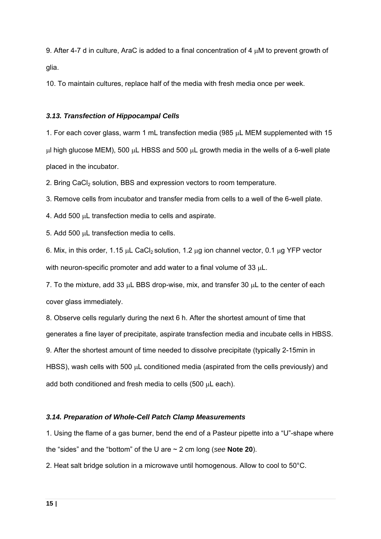9. After 4-7 d in culture, AraC is added to a final concentration of 4  $\mu$ M to prevent growth of glia.

10. To maintain cultures, replace half of the media with fresh media once per week.

### *3.13. Transfection of Hippocampal Cells*

1. For each cover glass, warm 1 mL transfection media (985  $\mu$ L MEM supplemented with 15  $\mu$ l high glucose MEM), 500  $\mu$ L HBSS and 500  $\mu$ L growth media in the wells of a 6-well plate placed in the incubator.

2. Bring CaCl<sub>2</sub> solution, BBS and expression vectors to room temperature.

3. Remove cells from incubator and transfer media from cells to a well of the 6-well plate.

4. Add 500  $\mu$ L transfection media to cells and aspirate.

5. Add 500  $\mu$ L transfection media to cells.

6. Mix, in this order, 1.15  $\mu$ L CaCl<sub>2</sub> solution, 1.2  $\mu$ g ion channel vector, 0.1  $\mu$ g YFP vector with neuron-specific promoter and add water to a final volume of 33  $\mu$ L.

7. To the mixture, add 33  $\mu$ L BBS drop-wise, mix, and transfer 30  $\mu$ L to the center of each cover glass immediately.

8. Observe cells regularly during the next 6 h. After the shortest amount of time that generates a fine layer of precipitate, aspirate transfection media and incubate cells in HBSS. 9. After the shortest amount of time needed to dissolve precipitate (typically 2-15min in HBSS), wash cells with 500  $\mu$ L conditioned media (aspirated from the cells previously) and add both conditioned and fresh media to cells (500 µL each).

# *3.14. Preparation of Whole-Cell Patch Clamp Measurements*

1. Using the flame of a gas burner, bend the end of a Pasteur pipette into a "U"-shape where the "sides" and the "bottom" of the U are ~ 2 cm long (*see* **Note 20**).

2. Heat salt bridge solution in a microwave until homogenous. Allow to cool to 50°C.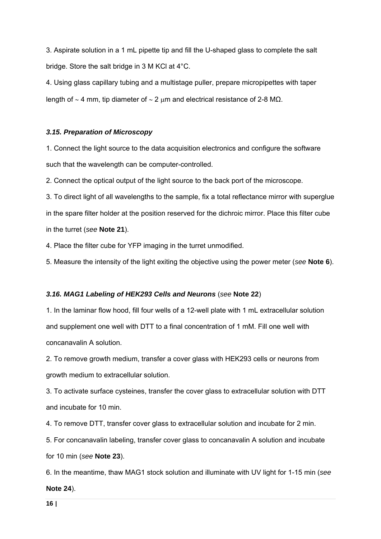3. Aspirate solution in a 1 mL pipette tip and fill the U-shaped glass to complete the salt bridge. Store the salt bridge in 3 M KCl at 4°C.

4. Using glass capillary tubing and a multistage puller, prepare micropipettes with taper length of  $\sim$  4 mm, tip diameter of  $\sim$  2 μm and electrical resistance of 2-8 MΩ.

#### *3.15. Preparation of Microscopy*

1. Connect the light source to the data acquisition electronics and configure the software such that the wavelength can be computer-controlled.

2. Connect the optical output of the light source to the back port of the microscope.

3. To direct light of all wavelengths to the sample, fix a total reflectance mirror with superglue in the spare filter holder at the position reserved for the dichroic mirror. Place this filter cube in the turret (*see* **Note 21**).

4. Place the filter cube for YFP imaging in the turret unmodified.

5. Measure the intensity of the light exiting the objective using the power meter (*see* **Note 6**).

#### *3.16. MAG1 Labeling of HEK293 Cells and Neurons* (*see* **Note 22**)

1. In the laminar flow hood, fill four wells of a 12-well plate with 1 mL extracellular solution and supplement one well with DTT to a final concentration of 1 mM. Fill one well with concanavalin A solution.

2. To remove growth medium, transfer a cover glass with HEK293 cells or neurons from growth medium to extracellular solution.

3. To activate surface cysteines, transfer the cover glass to extracellular solution with DTT and incubate for 10 min.

4. To remove DTT, transfer cover glass to extracellular solution and incubate for 2 min.

5. For concanavalin labeling, transfer cover glass to concanavalin A solution and incubate for 10 min (*see* **Note 23**).

6. In the meantime, thaw MAG1 stock solution and illuminate with UV light for 1-15 min (*see* **Note 24**).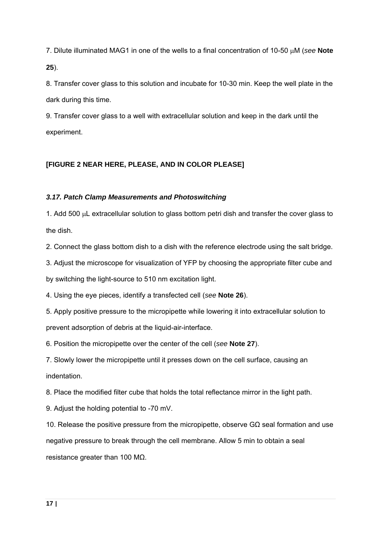7. Dilute illuminated MAG1 in one of the wells to a final concentration of 10-50  $\mu$ M (see **Note 25**).

8. Transfer cover glass to this solution and incubate for 10-30 min. Keep the well plate in the dark during this time.

9. Transfer cover glass to a well with extracellular solution and keep in the dark until the experiment.

# **[FIGURE 2 NEAR HERE, PLEASE, AND IN COLOR PLEASE]**

### *3.17. Patch Clamp Measurements and Photoswitching*

1. Add 500  $\mu$ L extracellular solution to glass bottom petri dish and transfer the cover glass to the dish.

2. Connect the glass bottom dish to a dish with the reference electrode using the salt bridge.

3. Adjust the microscope for visualization of YFP by choosing the appropriate filter cube and by switching the light-source to 510 nm excitation light.

4. Using the eye pieces, identify a transfected cell (*see* **Note 26**).

5. Apply positive pressure to the micropipette while lowering it into extracellular solution to prevent adsorption of debris at the liquid-air-interface.

6. Position the micropipette over the center of the cell (*see* **Note 27**).

7. Slowly lower the micropipette until it presses down on the cell surface, causing an indentation.

8. Place the modified filter cube that holds the total reflectance mirror in the light path.

9. Adjust the holding potential to -70 mV.

10. Release the positive pressure from the micropipette, observe GΩ seal formation and use negative pressure to break through the cell membrane. Allow 5 min to obtain a seal resistance greater than 100 MΩ.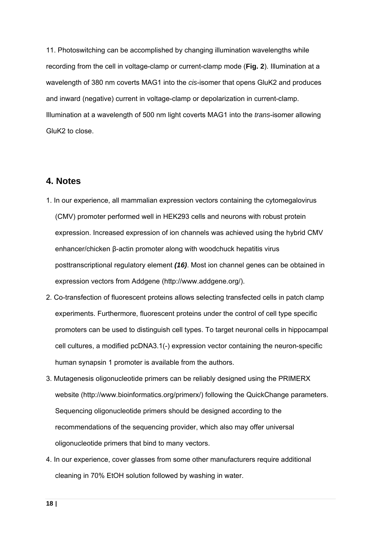11. Photoswitching can be accomplished by changing illumination wavelengths while recording from the cell in voltage-clamp or current-clamp mode (**Fig. 2**). Illumination at a wavelength of 380 nm coverts MAG1 into the *cis*-isomer that opens GluK2 and produces and inward (negative) current in voltage-clamp or depolarization in current-clamp. Illumination at a wavelength of 500 nm light coverts MAG1 into the *trans*-isomer allowing GluK2 to close.

# **4. Notes**

- 1. In our experience, all mammalian expression vectors containing the cytomegalovirus (CMV) promoter performed well in HEK293 cells and neurons with robust protein expression. Increased expression of ion channels was achieved using the hybrid CMV enhancer/chicken β-actin promoter along with woodchuck hepatitis virus posttranscriptional regulatory element *(16)*. Most ion channel genes can be obtained in expression vectors from Addgene (http://www.addgene.org/).
- 2. Co-transfection of fluorescent proteins allows selecting transfected cells in patch clamp experiments. Furthermore, fluorescent proteins under the control of cell type specific promoters can be used to distinguish cell types. To target neuronal cells in hippocampal cell cultures, a modified pcDNA3.1(-) expression vector containing the neuron-specific human synapsin 1 promoter is available from the authors.
- 3. Mutagenesis oligonucleotide primers can be reliably designed using the PRIMERX website (http://www.bioinformatics.org/primerx/) following the QuickChange parameters. Sequencing oligonucleotide primers should be designed according to the recommendations of the sequencing provider, which also may offer universal oligonucleotide primers that bind to many vectors.
- 4. In our experience, cover glasses from some other manufacturers require additional cleaning in 70% EtOH solution followed by washing in water.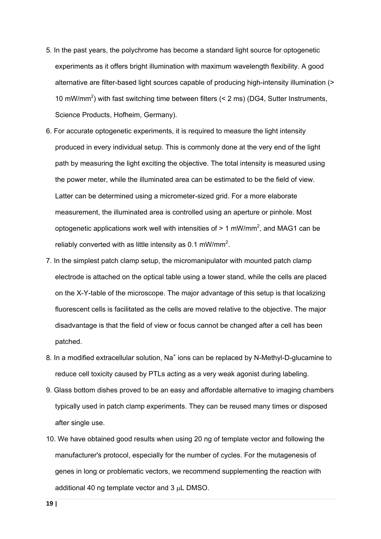- 5. In the past years, the polychrome has become a standard light source for optogenetic experiments as it offers bright illumination with maximum wavelength flexibility. A good alternative are filter-based light sources capable of producing high-intensity illumination (> 10 mW/mm<sup>2</sup>) with fast switching time between filters  $(< 2 \text{ ms})$  (DG4, Sutter Instruments, Science Products, Hofheim, Germany).
- 6. For accurate optogenetic experiments, it is required to measure the light intensity produced in every individual setup. This is commonly done at the very end of the light path by measuring the light exciting the objective. The total intensity is measured using the power meter, while the illuminated area can be estimated to be the field of view. Latter can be determined using a micrometer-sized grid. For a more elaborate measurement, the illuminated area is controlled using an aperture or pinhole. Most optogenetic applications work well with intensities of  $> 1$  mW/mm<sup>2</sup>, and MAG1 can be reliably converted with as little intensity as 0.1 mW/mm<sup>2</sup>.
- 7. In the simplest patch clamp setup, the micromanipulator with mounted patch clamp electrode is attached on the optical table using a tower stand, while the cells are placed on the X-Y-table of the microscope. The major advantage of this setup is that localizing fluorescent cells is facilitated as the cells are moved relative to the objective. The major disadvantage is that the field of view or focus cannot be changed after a cell has been patched.
- 8. In a modified extracellular solution, Na<sup>+</sup> ions can be replaced by N-Methyl-D-glucamine to reduce cell toxicity caused by PTLs acting as a very weak agonist during labeling.
- 9. Glass bottom dishes proved to be an easy and affordable alternative to imaging chambers typically used in patch clamp experiments. They can be reused many times or disposed after single use.
- 10. We have obtained good results when using 20 ng of template vector and following the manufacturer's protocol, especially for the number of cycles. For the mutagenesis of genes in long or problematic vectors, we recommend supplementing the reaction with additional 40 ng template vector and  $3 \mu L$  DMSO.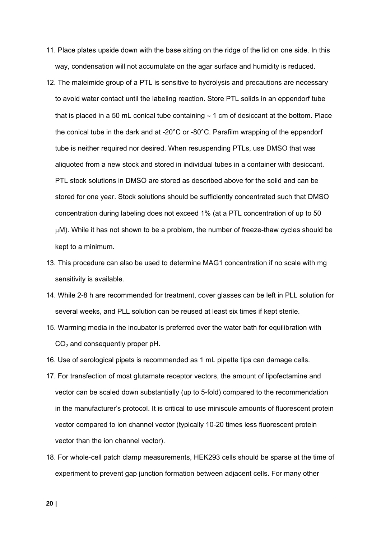- 11. Place plates upside down with the base sitting on the ridge of the lid on one side. In this way, condensation will not accumulate on the agar surface and humidity is reduced.
- 12. The maleimide group of a PTL is sensitive to hydrolysis and precautions are necessary to avoid water contact until the labeling reaction. Store PTL solids in an eppendorf tube that is placed in a 50 mL conical tube containing  $\sim$  1 cm of desiccant at the bottom. Place the conical tube in the dark and at -20°C or -80°C. Parafilm wrapping of the eppendorf tube is neither required nor desired. When resuspending PTLs, use DMSO that was aliquoted from a new stock and stored in individual tubes in a container with desiccant. PTL stock solutions in DMSO are stored as described above for the solid and can be stored for one year. Stock solutions should be sufficiently concentrated such that DMSO concentration during labeling does not exceed 1% (at a PTL concentration of up to 50 M). While it has not shown to be a problem, the number of freeze-thaw cycles should be kept to a minimum.
- 13. This procedure can also be used to determine MAG1 concentration if no scale with mg sensitivity is available.
- 14. While 2-8 h are recommended for treatment, cover glasses can be left in PLL solution for several weeks, and PLL solution can be reused at least six times if kept sterile.
- 15. Warming media in the incubator is preferred over the water bath for equilibration with  $CO<sub>2</sub>$  and consequently proper pH.
- 16. Use of serological pipets is recommended as 1 mL pipette tips can damage cells.
- 17. For transfection of most glutamate receptor vectors, the amount of lipofectamine and vector can be scaled down substantially (up to 5-fold) compared to the recommendation in the manufacturer's protocol. It is critical to use miniscule amounts of fluorescent protein vector compared to ion channel vector (typically 10-20 times less fluorescent protein vector than the ion channel vector).
- 18. For whole-cell patch clamp measurements, HEK293 cells should be sparse at the time of experiment to prevent gap junction formation between adjacent cells. For many other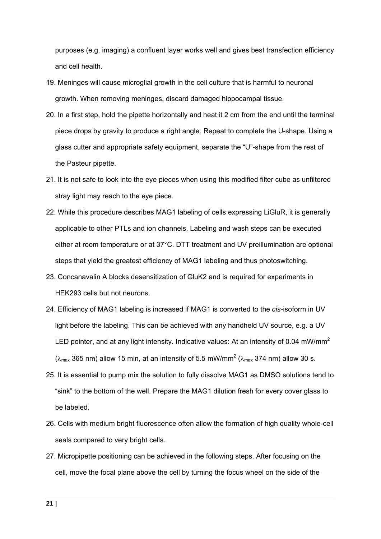purposes (e.g. imaging) a confluent layer works well and gives best transfection efficiency and cell health.

- 19. Meninges will cause microglial growth in the cell culture that is harmful to neuronal growth. When removing meninges, discard damaged hippocampal tissue.
- 20. In a first step, hold the pipette horizontally and heat it 2 cm from the end until the terminal piece drops by gravity to produce a right angle. Repeat to complete the U-shape. Using a glass cutter and appropriate safety equipment, separate the "U"-shape from the rest of the Pasteur pipette.
- 21. It is not safe to look into the eye pieces when using this modified filter cube as unfiltered stray light may reach to the eye piece.
- 22. While this procedure describes MAG1 labeling of cells expressing LiGluR, it is generally applicable to other PTLs and ion channels. Labeling and wash steps can be executed either at room temperature or at 37°C. DTT treatment and UV preillumination are optional steps that yield the greatest efficiency of MAG1 labeling and thus photoswitching.
- 23. Concanavalin A blocks desensitization of GluK2 and is required for experiments in HEK293 cells but not neurons.
- 24. Efficiency of MAG1 labeling is increased if MAG1 is converted to the *cis*-isoform in UV light before the labeling. This can be achieved with any handheld UV source, e.g. a UV LED pointer, and at any light intensity. Indicative values: At an intensity of 0.04 mW/mm<sup>2</sup> ( $\lambda_{\text{max}}$  365 nm) allow 15 min, at an intensity of 5.5 mW/mm<sup>2</sup> ( $\lambda_{\text{max}}$  374 nm) allow 30 s.

25. It is essential to pump mix the solution to fully dissolve MAG1 as DMSO solutions tend to "sink" to the bottom of the well. Prepare the MAG1 dilution fresh for every cover glass to be labeled.

- 26. Cells with medium bright fluorescence often allow the formation of high quality whole-cell seals compared to very bright cells.
- 27. Micropipette positioning can be achieved in the following steps. After focusing on the cell, move the focal plane above the cell by turning the focus wheel on the side of the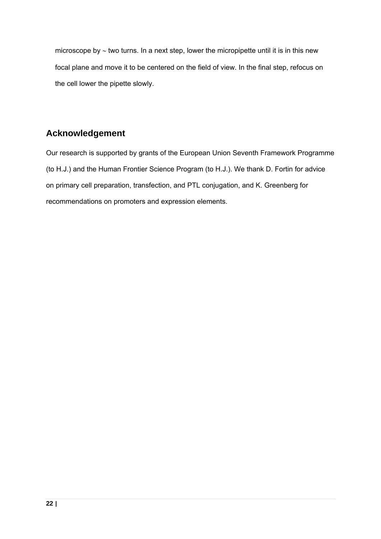microscope by  $\sim$  two turns. In a next step, lower the micropipette until it is in this new focal plane and move it to be centered on the field of view. In the final step, refocus on the cell lower the pipette slowly.

# **Acknowledgement**

Our research is supported by grants of the European Union Seventh Framework Programme (to H.J.) and the Human Frontier Science Program (to H.J.). We thank D. Fortin for advice on primary cell preparation, transfection, and PTL conjugation, and K. Greenberg for recommendations on promoters and expression elements.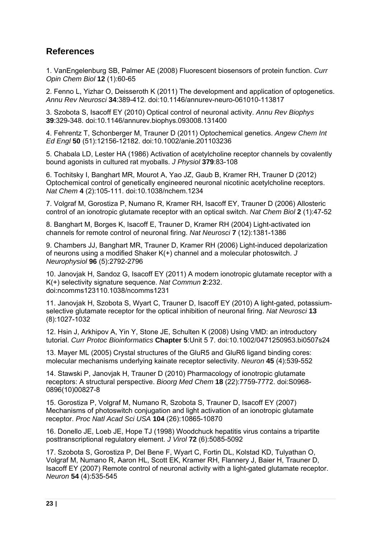# **References**

1. VanEngelenburg SB, Palmer AE (2008) Fluorescent biosensors of protein function. *Curr Opin Chem Biol* **12** (1):60-65

2. Fenno L, Yizhar O, Deisseroth K (2011) The development and application of optogenetics. *Annu Rev Neurosci* **34**:389-412. doi:10.1146/annurev-neuro-061010-113817

3. Szobota S, Isacoff EY (2010) Optical control of neuronal activity. *Annu Rev Biophys* **39**:329-348. doi:10.1146/annurev.biophys.093008.131400

4. Fehrentz T, Schonberger M, Trauner D (2011) Optochemical genetics. *Angew Chem Int Ed Engl* **50** (51):12156-12182. doi:10.1002/anie.201103236

5. Chabala LD, Lester HA (1986) Activation of acetylcholine receptor channels by covalently bound agonists in cultured rat myoballs. *J Physiol* **379**:83-108

6. Tochitsky I, Banghart MR, Mourot A, Yao JZ, Gaub B, Kramer RH, Trauner D (2012) Optochemical control of genetically engineered neuronal nicotinic acetylcholine receptors. *Nat Chem* **4** (2):105-111. doi:10.1038/nchem.1234

7. Volgraf M, Gorostiza P, Numano R, Kramer RH, Isacoff EY, Trauner D (2006) Allosteric control of an ionotropic glutamate receptor with an optical switch. *Nat Chem Biol* **2** (1):47-52

8. Banghart M, Borges K, Isacoff E, Trauner D, Kramer RH (2004) Light-activated ion channels for remote control of neuronal firing. *Nat Neurosci* **7** (12):1381-1386

9. Chambers JJ, Banghart MR, Trauner D, Kramer RH (2006) Light-induced depolarization of neurons using a modified Shaker K(+) channel and a molecular photoswitch. *J Neurophysiol* **96** (5):2792-2796

10. Janovjak H, Sandoz G, Isacoff EY (2011) A modern ionotropic glutamate receptor with a K(+) selectivity signature sequence. *Nat Commun* **2**:232. doi:ncomms123110.1038/ncomms1231

11. Janovjak H, Szobota S, Wyart C, Trauner D, Isacoff EY (2010) A light-gated, potassiumselective glutamate receptor for the optical inhibition of neuronal firing. *Nat Neurosci* **13** (8):1027-1032

12. Hsin J, Arkhipov A, Yin Y, Stone JE, Schulten K (2008) Using VMD: an introductory tutorial. *Curr Protoc Bioinformatics* **Chapter 5**:Unit 5 7. doi:10.1002/0471250953.bi0507s24

13. Mayer ML (2005) Crystal structures of the GluR5 and GluR6 ligand binding cores: molecular mechanisms underlying kainate receptor selectivity. *Neuron* **45** (4):539-552

14. Stawski P, Janovjak H, Trauner D (2010) Pharmacology of ionotropic glutamate receptors: A structural perspective. *Bioorg Med Chem* **18** (22):7759-7772. doi:S0968- 0896(10)00827-8

15. Gorostiza P, Volgraf M, Numano R, Szobota S, Trauner D, Isacoff EY (2007) Mechanisms of photoswitch conjugation and light activation of an ionotropic glutamate receptor. *Proc Natl Acad Sci USA* **104** (26):10865-10870

16. Donello JE, Loeb JE, Hope TJ (1998) Woodchuck hepatitis virus contains a tripartite posttranscriptional regulatory element. *J Virol* **72** (6):5085-5092

17. Szobota S, Gorostiza P, Del Bene F, Wyart C, Fortin DL, Kolstad KD, Tulyathan O, Volgraf M, Numano R, Aaron HL, Scott EK, Kramer RH, Flannery J, Baier H, Trauner D, Isacoff EY (2007) Remote control of neuronal activity with a light-gated glutamate receptor. *Neuron* **54** (4):535-545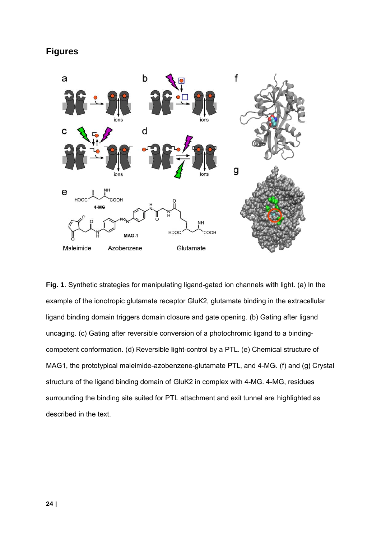# **Figures**



Fig. 1. Synthetic strategies for manipulating ligand-gated ion channels with light. (a) In the example of the ionotropic glutamate receptor GluK2, glutamate binding in the extracellular ligand binding domain triggers domain closure and gate opening. (b) Gating after ligand uncaging. (c) Gating after reversible conversion of a photochromic ligand to a bindingcompetent conformation. (d) Reversible light-control by a PTL. (e) Chemical structure of MAG1, the prototypical maleimide-azobenzene-glutamate PTL, and 4-MG. (f) and (g) Crystal structure of the ligand binding domain of GluK2 in complex with 4-MG. 4-MG, residues surrounding the binding site suited for PTL attachment and exit tunnel are highlighted as described in the text.